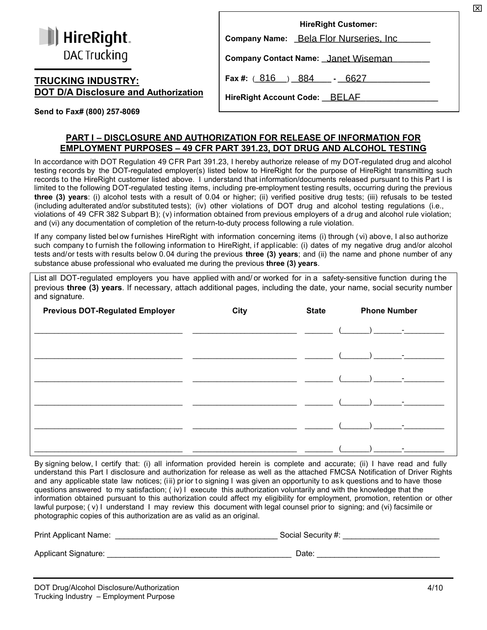| <b>I</b> HireRight. |
|---------------------|
| DAC Trucking        |

## **TRUCKING INDUSTRY: DOT D/A Disclosure and Authorization**

| <b>HireRight Customer:</b>                 |  |
|--------------------------------------------|--|
| Company Name: Bela Flor Nurseries, Inc.    |  |
| <b>Company Contact Name: Janet Wiseman</b> |  |
| Fax #: $(816) 884 - 6627$                  |  |
| <b>HireRight Account Code: BELAF</b>       |  |

**Send to Fax# (800) 257-8069**

## **PART I – DISCLOSURE AND AUTHORIZATION FOR RELEASE OF INFORMATION FOR EMPLOYMENT PURPOSES – 49 CFR PART 391.23, DOT DRUG AND ALCOHOL TESTING**

In accordance with DOT Regulation 49 CFR Part 391.23, I hereby authorize release of my DOT-regulated drug and alcohol testing records by the DOT-regulated employer(s) listed below to HireRight for the purpose of HireRight transmitting such records to the HireRight customer listed above. I understand that information/documents released pursuant to this Part I is limited to the following DOT-regulated testing items, including pre-employment testing results, occurring during the previous **three (3) years**: (i) alcohol tests with a result of 0.04 or higher; (ii) verified positive drug tests; (iii) refusals to be tested (including adulterated and/or substituted tests); (iv) other violations of DOT drug and alcohol testing regulations (i.e., violations of 49 CFR 382 Subpart B); (v) information obtained from previous employers of a drug and alcohol rule violation; and (vi) any documentation of completion of the return-to-duty process following a rule violation.

If any company listed bel ow furnishes HireRight with information concerning items (i) through (vi) above, I also authorize such company to furnish the following information to HireRight, if applicable: (i) dates of my negative drug and/or alcohol tests and/or tests with results below 0.04 during the previous **three (3) years**; and (ii) the name and phone number of any substance abuse professional who evaluated me during the previous **three (3) years**.

List all DOT-regulated employers you have applied with and/ or worked for in a safety-sensitive function during t he previous **three (3) years**. If necessary, attach additional pages, including the date, your name, social security number and signature.

| <b>Previous DOT-Regulated Employer</b> | <b>City</b> | <b>State</b> | <b>Phone Number</b>    |
|----------------------------------------|-------------|--------------|------------------------|
|                                        |             |              |                        |
|                                        |             |              |                        |
|                                        |             |              |                        |
|                                        |             |              | <b>Harry Committee</b> |
|                                        |             |              |                        |
|                                        |             |              |                        |
|                                        |             |              |                        |

By signing below, I certify that: (i) all information provided herein is complete and accurate; (ii) I have read and fully understand this Part I disclosure and authorization for release as well as the attached FMCSA Notification of Driver Rights and any applicable state law notices; (iii) prior to signing I was given an opportunity to ask questions and to have those questions answered to my satisfaction; ( iv) I execute this authorization voluntarily and with the knowledge that the information obtained pursuant to this authorization could affect my eligibility for employment, promotion, retention or other lawful purpose; ( v) I understand I may review this document with legal counsel prior to signing; and (vi) facsimile or photographic copies of this authorization are as valid as an original.

| <b>Print Applicant Name:</b> | Social Security #: |
|------------------------------|--------------------|
| Applicant Signature:         | Date               |